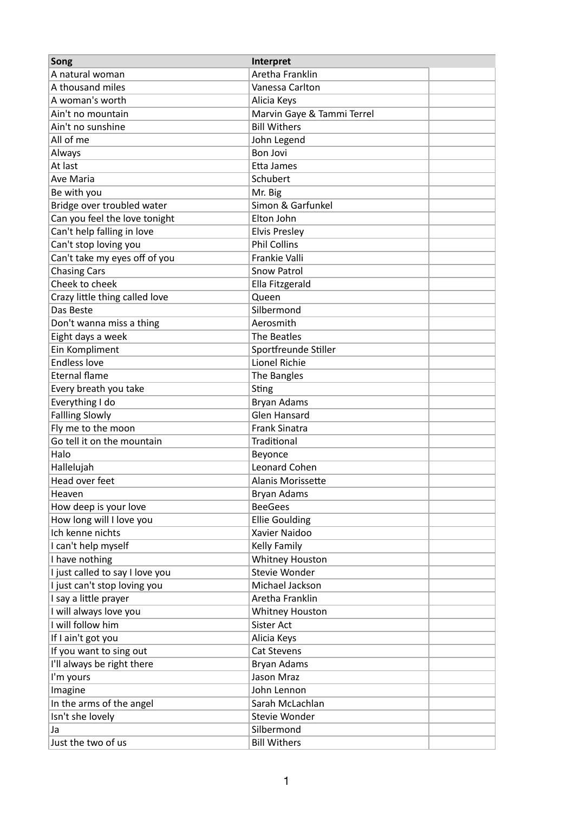| Song                            | Interpret                  |
|---------------------------------|----------------------------|
| A natural woman                 | Aretha Franklin            |
| A thousand miles                | Vanessa Carlton            |
| A woman's worth                 | Alicia Keys                |
| Ain't no mountain               | Marvin Gaye & Tammi Terrel |
| Ain't no sunshine               | <b>Bill Withers</b>        |
| All of me                       | John Legend                |
| Always                          | <b>Bon Jovi</b>            |
| At last                         | Etta James                 |
| Ave Maria                       | Schubert                   |
| Be with you                     | Mr. Big                    |
| Bridge over troubled water      | Simon & Garfunkel          |
| Can you feel the love tonight   | Elton John                 |
| Can't help falling in love      | <b>Elvis Presley</b>       |
| Can't stop loving you           | <b>Phil Collins</b>        |
| Can't take my eyes off of you   | Frankie Valli              |
| <b>Chasing Cars</b>             | <b>Snow Patrol</b>         |
| Cheek to cheek                  | Ella Fitzgerald            |
| Crazy little thing called love  | Queen                      |
| Das Beste                       | Silbermond                 |
| Don't wanna miss a thing        | Aerosmith                  |
| Eight days a week               | The Beatles                |
| Ein Kompliment                  | Sportfreunde Stiller       |
| <b>Endless love</b>             | Lionel Richie              |
| <b>Eternal flame</b>            | The Bangles                |
| Every breath you take           | Sting                      |
| Everything I do                 | <b>Bryan Adams</b>         |
| <b>Fallling Slowly</b>          | <b>Glen Hansard</b>        |
| Fly me to the moon              | <b>Frank Sinatra</b>       |
| Go tell it on the mountain      | Traditional                |
| Halo                            | Beyonce                    |
| Hallelujah                      | Leonard Cohen              |
| Head over feet                  | <b>Alanis Morissette</b>   |
| Heaven                          | <b>Bryan Adams</b>         |
| How deep is your love           | <b>BeeGees</b>             |
| How long will I love you        | <b>Ellie Goulding</b>      |
| Ich kenne nichts                | Xavier Naidoo              |
| I can't help myself             | Kelly Family               |
| I have nothing                  | Whitney Houston            |
| I just called to say I love you | Stevie Wonder              |
| I just can't stop loving you    | Michael Jackson            |
| I say a little prayer           | Aretha Franklin            |
| I will always love you          | Whitney Houston            |
| I will follow him               | Sister Act                 |
| If I ain't got you              | Alicia Keys                |
| If you want to sing out         | Cat Stevens                |
| I'll always be right there      | Bryan Adams                |
| I'm yours                       | Jason Mraz                 |
| Imagine                         | John Lennon                |
| In the arms of the angel        | Sarah McLachlan            |
| Isn't she lovely                | Stevie Wonder              |
| Ja                              | Silbermond                 |
| Just the two of us              | <b>Bill Withers</b>        |
|                                 |                            |